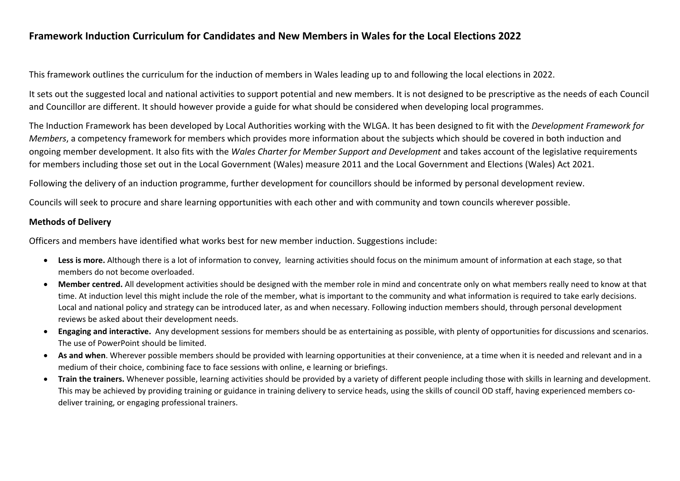## **Framework Induction Curriculum for Candidates and New Members in Wales for the Local Elections 2022**

This framework outlines the curriculum for the induction of members in Wales leading up to and following the local elections in 2022.

It sets out the suggested local and national activities to support potential and new members. It is not designed to be prescriptive as the needs of each Council and Councillor are different. It should however provide a guide for what should be considered when developing local programmes.

The Induction Framework has been developed by Local Authorities working with the WLGA. It has been designed to fit with the *Development Framework for Members*, a competency framework for members which provides more information about the subjects which should be covered in both induction and ongoing member development. It also fits with the *Wales Charter for Member Support and Development* and takes account of the legislative requirements for members including those set out in the Local Government (Wales) measure 2011 and the Local Government and Elections (Wales) Act 2021.

Following the delivery of an induction programme, further development for councillors should be informed by personal development review.

Councils will seek to procure and share learning opportunities with each other and with community and town councils wherever possible.

## **Methods of Delivery**

Officers and members have identified what works best for new member induction. Suggestions include:

- **Less is more.** Although there is a lot of information to convey, learning activities should focus on the minimum amount of information at each stage, so that members do not become overloaded.
- **Member centred.** All development activities should be designed with the member role in mind and concentrate only on what members really need to know at that time. At induction level this might include the role of the member, what is important to the community and what information is required to take early decisions. Local and national policy and strategy can be introduced later, as and when necessary. Following induction members should, through personal development reviews be asked about their development needs.
- **Engaging and interactive.** Any development sessions for members should be as entertaining as possible, with plenty of opportunities for discussions and scenarios. The use of PowerPoint should be limited.
- **As and when**. Wherever possible members should be provided with learning opportunities at their convenience, at a time when it is needed and relevant and in a medium of their choice, combining face to face sessions with online, e learning or briefings.
- **Train the trainers.** Whenever possible, learning activities should be provided by a variety of different people including those with skills in learning and development. This may be achieved by providing training or guidance in training delivery to service heads, using the skills of council OD staff, having experienced members codeliver training, or engaging professional trainers.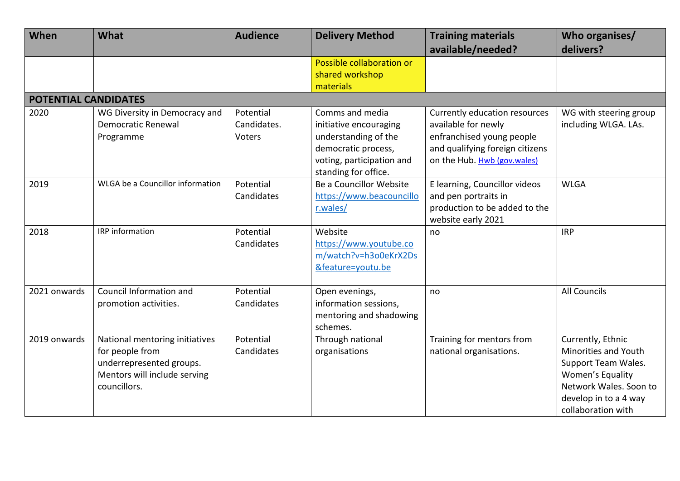| When                        | What                                                                                                                          | <b>Audience</b>                    | <b>Delivery Method</b>                                                                                                                        | <b>Training materials</b><br>available/needed?                                                                                                      | Who organises/<br>delivers?                                                                                                                                   |
|-----------------------------|-------------------------------------------------------------------------------------------------------------------------------|------------------------------------|-----------------------------------------------------------------------------------------------------------------------------------------------|-----------------------------------------------------------------------------------------------------------------------------------------------------|---------------------------------------------------------------------------------------------------------------------------------------------------------------|
|                             |                                                                                                                               |                                    | Possible collaboration or<br>shared workshop<br>materials                                                                                     |                                                                                                                                                     |                                                                                                                                                               |
| <b>POTENTIAL CANDIDATES</b> |                                                                                                                               |                                    |                                                                                                                                               |                                                                                                                                                     |                                                                                                                                                               |
| 2020                        | WG Diversity in Democracy and<br><b>Democratic Renewal</b><br>Programme                                                       | Potential<br>Candidates.<br>Voters | Comms and media<br>initiative encouraging<br>understanding of the<br>democratic process,<br>voting, participation and<br>standing for office. | Currently education resources<br>available for newly<br>enfranchised young people<br>and qualifying foreign citizens<br>on the Hub. Hwb (gov.wales) | WG with steering group<br>including WLGA. LAs.                                                                                                                |
| 2019                        | WLGA be a Councillor information                                                                                              | Potential<br>Candidates            | Be a Councillor Website<br>https://www.beacouncillo<br>r.wales/                                                                               | E learning, Councillor videos<br>and pen portraits in<br>production to be added to the<br>website early 2021                                        | <b>WLGA</b>                                                                                                                                                   |
| 2018                        | IRP information                                                                                                               | Potential<br>Candidates            | Website<br>https://www.youtube.co<br>m/watch?v=h3o0eKrX2Ds<br>&feature=youtu.be                                                               | no                                                                                                                                                  | <b>IRP</b>                                                                                                                                                    |
| 2021 onwards                | Council Information and<br>promotion activities.                                                                              | Potential<br>Candidates            | Open evenings,<br>information sessions,<br>mentoring and shadowing<br>schemes.                                                                | no                                                                                                                                                  | <b>All Councils</b>                                                                                                                                           |
| 2019 onwards                | National mentoring initiatives<br>for people from<br>underrepresented groups.<br>Mentors will include serving<br>councillors. | Potential<br>Candidates            | Through national<br>organisations                                                                                                             | Training for mentors from<br>national organisations.                                                                                                | Currently, Ethnic<br>Minorities and Youth<br>Support Team Wales.<br>Women's Equality<br>Network Wales. Soon to<br>develop in to a 4 way<br>collaboration with |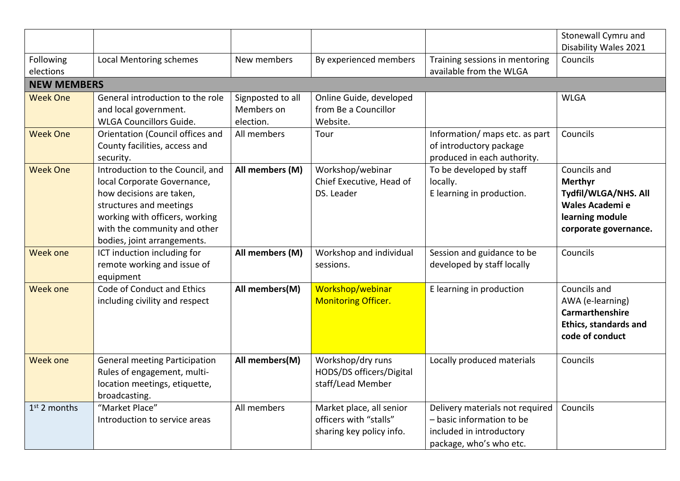|                        |                                                                                                                                                                                                                         |                                              |                                                                                |                                                                                                                     | Stonewall Cymru and<br>Disability Wales 2021                                                                          |
|------------------------|-------------------------------------------------------------------------------------------------------------------------------------------------------------------------------------------------------------------------|----------------------------------------------|--------------------------------------------------------------------------------|---------------------------------------------------------------------------------------------------------------------|-----------------------------------------------------------------------------------------------------------------------|
| Following<br>elections | <b>Local Mentoring schemes</b>                                                                                                                                                                                          | New members                                  | By experienced members                                                         | Training sessions in mentoring<br>available from the WLGA                                                           | Councils                                                                                                              |
| <b>NEW MEMBERS</b>     |                                                                                                                                                                                                                         |                                              |                                                                                |                                                                                                                     |                                                                                                                       |
| <b>Week One</b>        | General introduction to the role<br>and local government.<br><b>WLGA Councillors Guide.</b>                                                                                                                             | Signposted to all<br>Members on<br>election. | Online Guide, developed<br>from Be a Councillor<br>Website.                    |                                                                                                                     | <b>WLGA</b>                                                                                                           |
| <b>Week One</b>        | Orientation (Council offices and<br>County facilities, access and<br>security.                                                                                                                                          | All members                                  | Tour                                                                           | Information/ maps etc. as part<br>of introductory package<br>produced in each authority.                            | Councils                                                                                                              |
| <b>Week One</b>        | Introduction to the Council, and<br>local Corporate Governance,<br>how decisions are taken,<br>structures and meetings<br>working with officers, working<br>with the community and other<br>bodies, joint arrangements. | All members (M)                              | Workshop/webinar<br>Chief Executive, Head of<br>DS. Leader                     | To be developed by staff<br>locally.<br>E learning in production.                                                   | Councils and<br><b>Merthyr</b><br>Tydfil/WLGA/NHS. All<br>Wales Academi e<br>learning module<br>corporate governance. |
| <b>Week one</b>        | ICT induction including for<br>remote working and issue of<br>equipment                                                                                                                                                 | All members (M)                              | Workshop and individual<br>sessions.                                           | Session and guidance to be<br>developed by staff locally                                                            | Councils                                                                                                              |
| <b>Week one</b>        | Code of Conduct and Ethics<br>including civility and respect                                                                                                                                                            | All members(M)                               | Workshop/webinar<br><b>Monitoring Officer.</b>                                 | E learning in production                                                                                            | Councils and<br>AWA (e-learning)<br>Carmarthenshire<br><b>Ethics, standards and</b><br>code of conduct                |
| Week one               | <b>General meeting Participation</b><br>Rules of engagement, multi-<br>location meetings, etiquette,<br>broadcasting.                                                                                                   | All members(M)                               | Workshop/dry runs<br>HODS/DS officers/Digital<br>staff/Lead Member             | Locally produced materials                                                                                          | Councils                                                                                                              |
| $1st$ 2 months         | "Market Place"<br>Introduction to service areas                                                                                                                                                                         | All members                                  | Market place, all senior<br>officers with "stalls"<br>sharing key policy info. | Delivery materials not required<br>- basic information to be<br>included in introductory<br>package, who's who etc. | Councils                                                                                                              |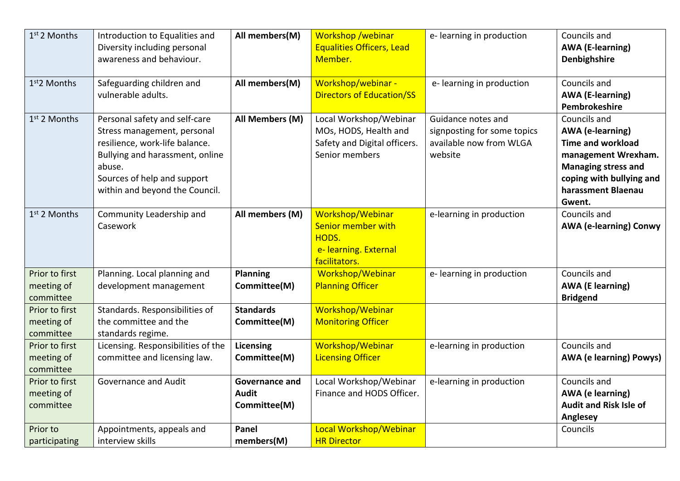| 1st 2 Months                              | Introduction to Equalities and<br>Diversity including personal<br>awareness and behaviour.                                                                                                                   | All members(M)                                        | Workshop /webinar<br><b>Equalities Officers, Lead</b><br>Member.                                  | e-learning in production                                                                | Councils and<br><b>AWA</b> (E-learning)<br>Denbighshire                                                                                                                              |
|-------------------------------------------|--------------------------------------------------------------------------------------------------------------------------------------------------------------------------------------------------------------|-------------------------------------------------------|---------------------------------------------------------------------------------------------------|-----------------------------------------------------------------------------------------|--------------------------------------------------------------------------------------------------------------------------------------------------------------------------------------|
| 1 <sup>st</sup> 2 Months                  | Safeguarding children and<br>vulnerable adults.                                                                                                                                                              | All members(M)                                        | Workshop/webinar -<br><b>Directors of Education/SS</b>                                            | e-learning in production                                                                | Councils and<br><b>AWA (E-learning)</b><br>Pembrokeshire                                                                                                                             |
| $1st$ 2 Months                            | Personal safety and self-care<br>Stress management, personal<br>resilience, work-life balance.<br>Bullying and harassment, online<br>abuse.<br>Sources of help and support<br>within and beyond the Council. | All Members (M)                                       | Local Workshop/Webinar<br>MOs, HODS, Health and<br>Safety and Digital officers.<br>Senior members | Guidance notes and<br>signposting for some topics<br>available now from WLGA<br>website | Councils and<br><b>AWA</b> (e-learning)<br><b>Time and workload</b><br>management Wrexham.<br><b>Managing stress and</b><br>coping with bullying and<br>harassment Blaenau<br>Gwent. |
| $1st$ 2 Months                            | Community Leadership and<br>Casework                                                                                                                                                                         | All members (M)                                       | Workshop/Webinar<br>Senior member with<br>HODS.<br>e- learning. External<br>facilitators.         | e-learning in production                                                                | Councils and<br><b>AWA (e-learning) Conwy</b>                                                                                                                                        |
| Prior to first<br>meeting of<br>committee | Planning. Local planning and<br>development management                                                                                                                                                       | <b>Planning</b><br>Committee(M)                       | Workshop/Webinar<br><b>Planning Officer</b>                                                       | e-learning in production                                                                | Councils and<br><b>AWA (E learning)</b><br><b>Bridgend</b>                                                                                                                           |
| Prior to first<br>meeting of<br>committee | Standards. Responsibilities of<br>the committee and the<br>standards regime.                                                                                                                                 | <b>Standards</b><br>Committee(M)                      | Workshop/Webinar<br><b>Monitoring Officer</b>                                                     |                                                                                         |                                                                                                                                                                                      |
| Prior to first<br>meeting of<br>committee | Licensing. Responsibilities of the<br>committee and licensing law.                                                                                                                                           | <b>Licensing</b><br>Committee(M)                      | Workshop/Webinar<br><b>Licensing Officer</b>                                                      | e-learning in production                                                                | Councils and<br><b>AWA (e learning) Powys)</b>                                                                                                                                       |
| Prior to first<br>meeting of<br>committee | Governance and Audit                                                                                                                                                                                         | <b>Governance and</b><br><b>Audit</b><br>Committee(M) | Local Workshop/Webinar<br>Finance and HODS Officer.                                               | e-learning in production                                                                | Councils and<br><b>AWA</b> (e learning)<br><b>Audit and Risk Isle of</b><br><b>Anglesey</b>                                                                                          |
| Prior to<br>participating                 | Appointments, appeals and<br>interview skills                                                                                                                                                                | <b>Panel</b><br>members(M)                            | Local Workshop/Webinar<br><b>HR Director</b>                                                      |                                                                                         | Councils                                                                                                                                                                             |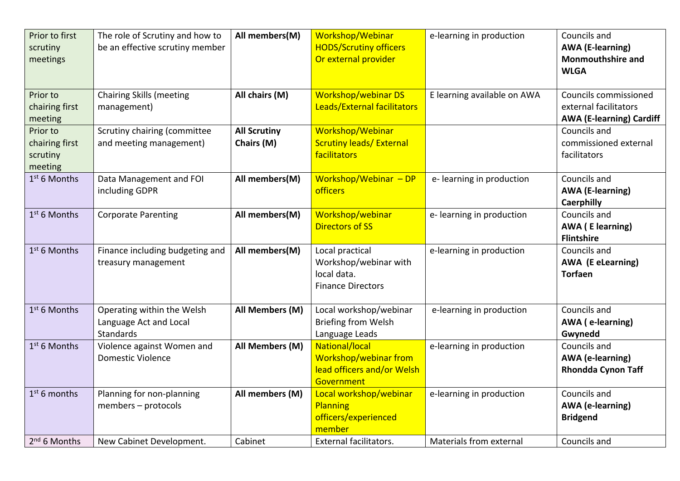| Prior to first<br>scrutiny<br>meetings            | The role of Scrutiny and how to<br>be an effective scrutiny member | All members(M)                    | Workshop/Webinar<br><b>HODS/Scrutiny officers</b><br>Or external provider           | e-learning in production    | Councils and<br><b>AWA (E-learning)</b><br><b>Monmouthshire and</b><br><b>WLGA</b> |
|---------------------------------------------------|--------------------------------------------------------------------|-----------------------------------|-------------------------------------------------------------------------------------|-----------------------------|------------------------------------------------------------------------------------|
| Prior to<br>chairing first<br>meeting             | <b>Chairing Skills (meeting</b><br>management)                     | All chairs (M)                    | <b>Workshop/webinar DS</b><br>Leads/External facilitators                           | E learning available on AWA | Councils commissioned<br>external facilitators<br><b>AWA (E-learning) Cardiff</b>  |
| Prior to<br>chairing first<br>scrutiny<br>meeting | Scrutiny chairing (committee<br>and meeting management)            | <b>All Scrutiny</b><br>Chairs (M) | Workshop/Webinar<br><b>Scrutiny leads/ External</b><br>facilitators                 |                             | Councils and<br>commissioned external<br>facilitators                              |
| 1 <sup>st</sup> 6 Months                          | Data Management and FOI<br>including GDPR                          | All members(M)                    | Workshop/Webinar $-DP$<br>officers                                                  | e-learning in production    | Councils and<br><b>AWA (E-learning)</b><br><b>Caerphilly</b>                       |
| 1st 6 Months                                      | <b>Corporate Parenting</b>                                         | All members(M)                    | Workshop/webinar<br><b>Directors of SS</b>                                          | e-learning in production    | Councils and<br><b>AWA</b> (E learning)<br><b>Flintshire</b>                       |
| $1st$ 6 Months                                    | Finance including budgeting and<br>treasury management             | All members(M)                    | Local practical<br>Workshop/webinar with<br>local data.<br><b>Finance Directors</b> | e-learning in production    | Councils and<br><b>AWA (E eLearning)</b><br><b>Torfaen</b>                         |
| 1 <sup>st</sup> 6 Months                          | Operating within the Welsh<br>Language Act and Local<br>Standards  | All Members (M)                   | Local workshop/webinar<br><b>Briefing from Welsh</b><br>Language Leads              | e-learning in production    | Councils and<br><b>AWA</b> (e-learning)<br>Gwynedd                                 |
| $1st$ 6 Months                                    | Violence against Women and<br><b>Domestic Violence</b>             | All Members (M)                   | National/local<br>Workshop/webinar from<br>lead officers and/or Welsh<br>Government | e-learning in production    | Councils and<br><b>AWA</b> (e-learning)<br><b>Rhondda Cynon Taff</b>               |
| $1st$ 6 months                                    | Planning for non-planning<br>members - protocols                   | All members (M)                   | Local workshop/webinar<br>Planning<br>officers/experienced<br>member                | e-learning in production    | Councils and<br><b>AWA</b> (e-learning)<br><b>Bridgend</b>                         |
| 2 <sup>nd</sup> 6 Months                          | New Cabinet Development.                                           | Cabinet                           | <b>External facilitators.</b>                                                       | Materials from external     | Councils and                                                                       |